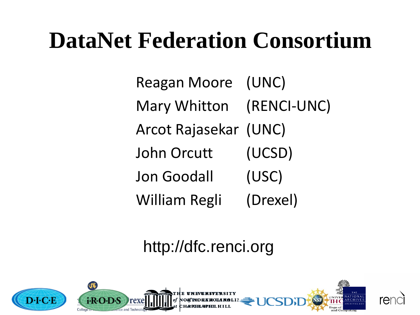## **DataNet Federation Consortium**

Reagan Moore (UNC) Mary Whitton (RENCI-UNC) Arcot Rajasekar (UNC) John Orcutt (UCSD) Jon Goodall (USC) William Regli (Drexel)

#### http://dfc.renci.org

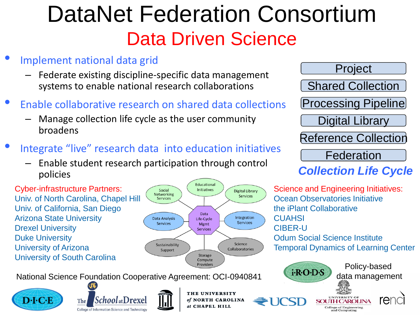## DataNet Federation Consortium Data Driven Science

- Implement national data grid
	- Federate existing discipline-specific data management systems to enable national research collaborations
- Enable collaborative research on shared data collections
	- Manage collection life cycle as the user community broadens
- Integrate "live" research data into education initiatives
	- Enable student research participation through control policies

Cyber-infrastructure Partners: Univ. of North Carolina, Chapel Hill Univ. of California, San Diego Arizona State University Drexel University Duke University University of Arizona University of South Carolina



National Science Foundation Cooperative Agreement: OCI-0940841







THE UNIVERSITY of NORTH CAROLINA at CHAPEL HILL

Project Shared Collection Processing Pipeline Digital Library Reference Collection Federation

#### *Collection Life Cycle*

Science and Engineering Initiatives: Ocean Observatories Initiative the iPlant Collaborative **CUAHSI** CIBER-U Odum Social Science Institute Temporal Dynamics of Learning Center

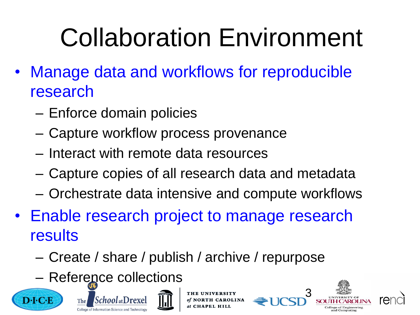# Collaboration Environment

- Manage data and workflows for reproducible research
	- Enforce domain policies
	- Capture workflow process provenance
	- Interact with remote data resources
	- Capture copies of all research data and metadata
	- Orchestrate data intensive and compute workflows
- Enable research project to manage research results
	- Create / share / publish / archive / repurpose
	- Reference collections







**OLINA** 



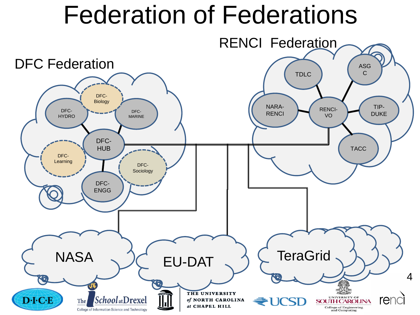## Federation of Federations

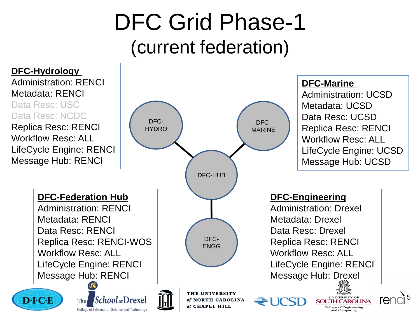### DFC Grid Phase-1 (current federation)

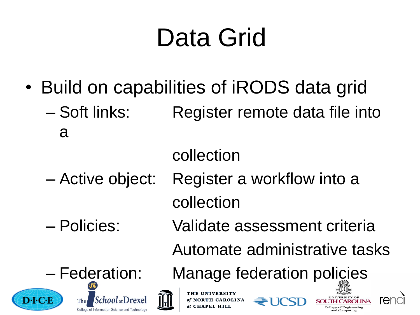# Data Grid

• Build on capabilities of iRODS data grid – Soft links: Register remote data file into a

#### collection

- Active object: Register a workflow into a collection
- 
- Policies: Validate assessment criteria

Automate administrative tasks

– Federation: Manage federation policies







THE UNIVERSITY of NORTH CAROLINA at CHAPEL HILL



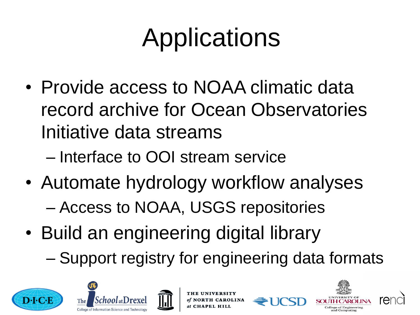# Applications

- Provide access to NOAA climatic data record archive for Ocean Observatories Initiative data streams
	- Interface to OOI stream service
- Automate hydrology workflow analyses – Access to NOAA, USGS repositories
- Build an engineering digital library – Support registry for engineering data formats







**NORTH CAROLINA** 



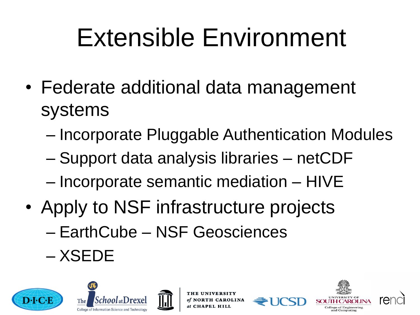# Extensible Environment

- Federate additional data management systems
	- Incorporate Pluggable Authentication Modules
	- Support data analysis libraries netCDF
	- Incorporate semantic mediation HIVE
- Apply to NSF infrastructure projects – EarthCube – NSF Geosciences – XSEDE







**NORTH CAROLINA**